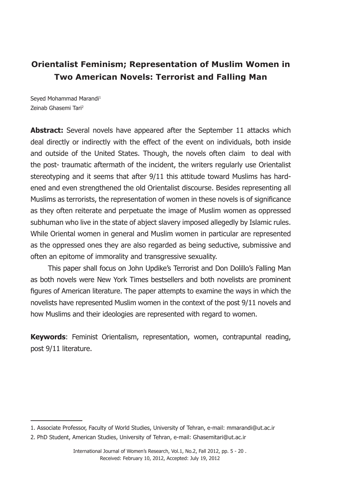# **Orientalist Feminism; Representation of Muslim Women in Two American Novels: Terrorist and Falling Man**

Seyed Mohammad Marandi1 Zeinab Ghasemi Tari2

**Abstract:** Several novels have appeared after the September 11 attacks which deal directly or indirectly with the effect of the event on individuals, both inside and outside of the United States. Though, the novels often claim to deal with the post- traumatic aftermath of the incident, the writers regularly use Orientalist stereotyping and it seems that after 9/11 this attitude toward Muslims has hardened and even strengthened the old Orientalist discourse. Besides representing all Muslims as terrorists, the representation of women in these novels is of significance as they often reiterate and perpetuate the image of Muslim women as oppressed subhuman who live in the state of abject slavery imposed allegedly by Islamic rules. While Oriental women in general and Muslim women in particular are represented as the oppressed ones they are also regarded as being seductive, submissive and often an epitome of immorality and transgressive sexuality.

 This paper shall focus on John Updike's Terrorist and Don Dolillo's Falling Man as both novels were New York Times bestsellers and both novelists are prominent figures of American literature. The paper attempts to examine the ways in which the novelists have represented Muslim women in the context of the post 9/11 novels and how Muslims and their ideologies are represented with regard to women.

**Keywords**: Feminist Orientalism, representation, women, contrapuntal reading, post 9/11 literature.

<sup>1</sup>. Associate Professor, Faculty of World Studies, University of Tehran, e-mail: mmarandi@ut.ac.ir

<sup>2</sup>. PhD Student, American Studies, University of Tehran, e-mail: Ghasemitari@ut.ac.ir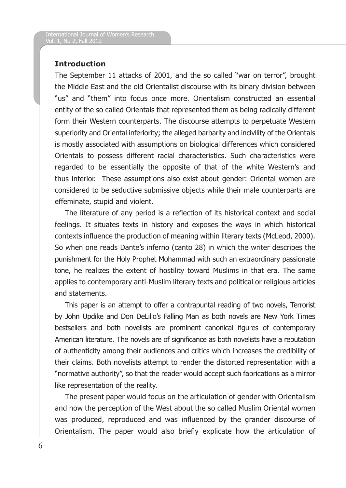## **Introduction**

The September 11 attacks of 2001, and the so called "war on terror", brought the Middle East and the old Orientalist discourse with its binary division between "us" and "them" into focus once more. Orientalism constructed an essential entity of the so called Orientals that represented them as being radically different form their Western counterparts. The discourse attempts to perpetuate Western superiority and Oriental inferiority; the alleged barbarity and incivility of the Orientals is mostly associated with assumptions on biological differences which considered Orientals to possess different racial characteristics. Such characteristics were regarded to be essentially the opposite of that of the white Western's and thus inferior. These assumptions also exist about gender: Oriental women are considered to be seductive submissive objects while their male counterparts are effeminate, stupid and violent.

The literature of any period is a reflection of its historical context and social feelings. It situates texts in history and exposes the ways in which historical contexts influence the production of meaning within literary texts (McLeod, 2000). So when one reads Dante's inferno (canto 28) in which the writer describes the punishment for the Holy Prophet Mohammad with such an extraordinary passionate tone, he realizes the extent of hostility toward Muslims in that era. The same applies to contemporary anti-Muslim literary texts and political or religious articles and statements.

This paper is an attempt to offer a contrapuntal reading of two novels, Terrorist by John Updike and Don DeLillo's Falling Man as both novels are New York Times bestsellers and both novelists are prominent canonical figures of contemporary American literature. The novels are of significance as both novelists have a reputation of authenticity among their audiences and critics which increases the credibility of their claims. Both novelists attempt to render the distorted representation with a "normative authority", so that the reader would accept such fabrications as a mirror like representation of the reality.

The present paper would focus on the articulation of gender with Orientalism and how the perception of the West about the so called Muslim Oriental women was produced, reproduced and was influenced by the grander discourse of Orientalism. The paper would also briefly explicate how the articulation of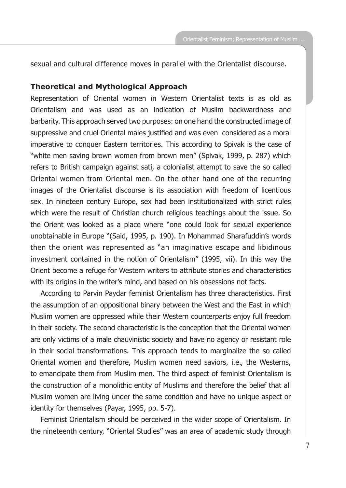sexual and cultural difference moves in parallel with the Orientalist discourse.

### **Theoretical and Mythological Approach**

Representation of Oriental women in Western Orientalist texts is as old as Orientalism and was used as an indication of Muslim backwardness and barbarity. This approach served two purposes: on one hand the constructed image of suppressive and cruel Oriental males justified and was even considered as a moral imperative to conquer Eastern territories. This according to Spivak is the case of "white men saving brown women from brown men" (Spivak, 1999, p. 287) which refers to British campaign against sati, a colonialist attempt to save the so called Oriental women from Oriental men. On the other hand one of the recurring images of the Orientalist discourse is its association with freedom of licentious sex. In nineteen century Europe, sex had been institutionalized with strict rules which were the result of Christian church religious teachings about the issue. So the Orient was looked as a place where "one could look for sexual experience unobtainable in Europe "(Said, 1995, p. 190). In Mohammad Sharafuddin's words then the orient was represented as "an imaginative escape and libidinous investment contained in the notion of Orientalism" (1995, vii). In this way the Orient become a refuge for Western writers to attribute stories and characteristics with its origins in the writer's mind, and based on his obsessions not facts.

According to Parvin Paydar feminist Orientalism has three characteristics. First the assumption of an oppositional binary between the West and the East in which Muslim women are oppressed while their Western counterparts enjoy full freedom in their society. The second characteristic is the conception that the Oriental women are only victims of a male chauvinistic society and have no agency or resistant role in their social transformations. This approach tends to marginalize the so called Oriental women and therefore, Muslim women need saviors, i.e., the Westerns, to emancipate them from Muslim men. The third aspect of feminist Orientalism is the construction of a monolithic entity of Muslims and therefore the belief that all Muslim women are living under the same condition and have no unique aspect or identity for themselves (Payar, 1995, pp. 5-7).

Feminist Orientalism should be perceived in the wider scope of Orientalism. In the nineteenth century, "Oriental Studies" was an area of academic study through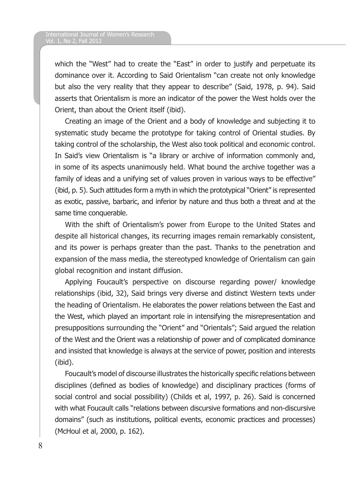which the "West" had to create the "East" in order to justify and perpetuate its dominance over it. According to Said Orientalism "can create not only knowledge but also the very reality that they appear to describe" (Said, 1978, p. 94). Said asserts that Orientalism is more an indicator of the power the West holds over the Orient, than about the Orient itself (ibid).

Creating an image of the Orient and a body of knowledge and subjecting it to systematic study became the prototype for taking control of Oriental studies. By taking control of the scholarship, the West also took political and economic control. In Said's view Orientalism is "a library or archive of information commonly and, in some of its aspects unanimously held. What bound the archive together was a family of ideas and a unifying set of values proven in various ways to be effective" (ibid, p. 5). Such attitudes form a myth in which the prototypical "Orient" is represented as exotic, passive, barbaric, and inferior by nature and thus both a threat and at the same time conquerable.

With the shift of Orientalism's power from Europe to the United States and despite all historical changes, its recurring images remain remarkably consistent, and its power is perhaps greater than the past. Thanks to the penetration and expansion of the mass media, the stereotyped knowledge of Orientalism can gain global recognition and instant diffusion.

Applying Foucault's perspective on discourse regarding power/ knowledge relationships (ibid, 32), Said brings very diverse and distinct Western texts under the heading of Orientalism. He elaborates the power relations between the East and the West, which played an important role in intensifying the misrepresentation and presuppositions surrounding the "Orient" and "Orientals"; Said argued the relation of the West and the Orient was a relationship of power and of complicated dominance and insisted that knowledge is always at the service of power, position and interests (ibid).

Foucault's model of discourse illustrates the historically specific relations between disciplines (defined as bodies of knowledge) and disciplinary practices (forms of social control and social possibility) (Childs et al, 1997, p. 26). Said is concerned with what Foucault calls "relations between discursive formations and non-discursive domains" (such as institutions, political events, economic practices and processes) (McHoul et al, 2000, p. 162).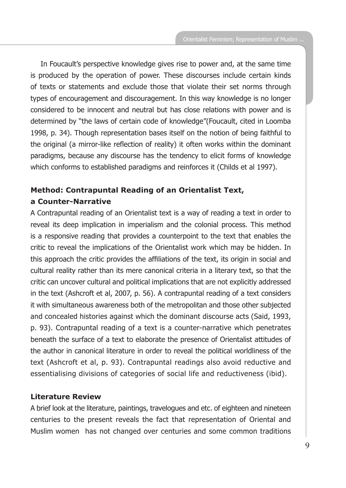In Foucault's perspective knowledge gives rise to power and, at the same time is produced by the operation of power. These discourses include certain kinds of texts or statements and exclude those that violate their set norms through types of encouragement and discouragement. In this way knowledge is no longer considered to be innocent and neutral but has close relations with power and is determined by "the laws of certain code of knowledge"(Foucault, cited in Loomba 1998, p. 34). Though representation bases itself on the notion of being faithful to the original (a mirror-like reflection of reality) it often works within the dominant paradigms, because any discourse has the tendency to elicit forms of knowledge which conforms to established paradigms and reinforces it (Childs et al 1997).

# **Method: Contrapuntal Reading of an Orientalist Text, a Counter-Narrative**

A Contrapuntal reading of an Orientalist text is a way of reading a text in order to reveal its deep implication in imperialism and the colonial process. This method is a responsive reading that provides a counterpoint to the text that enables the critic to reveal the implications of the Orientalist work which may be hidden. In this approach the critic provides the affiliations of the text, its origin in social and cultural reality rather than its mere canonical criteria in a literary text, so that the critic can uncover cultural and political implications that are not explicitly addressed in the text (Ashcroft et al, 2007, p. 56). A contrapuntal reading of a text considers it with simultaneous awareness both of the metropolitan and those other subjected and concealed histories against which the dominant discourse acts (Said, 1993, p. 93). Contrapuntal reading of a text is a counter-narrative which penetrates beneath the surface of a text to elaborate the presence of Orientalist attitudes of the author in canonical literature in order to reveal the political worldliness of the text (Ashcroft et al, p. 93). Contrapuntal readings also avoid reductive and essentialising divisions of categories of social life and reductiveness (ibid).

## **Literature Review**

A brief look at the literature, paintings, travelogues and etc. of eighteen and nineteen centuries to the present reveals the fact that representation of Oriental and Muslim women has not changed over centuries and some common traditions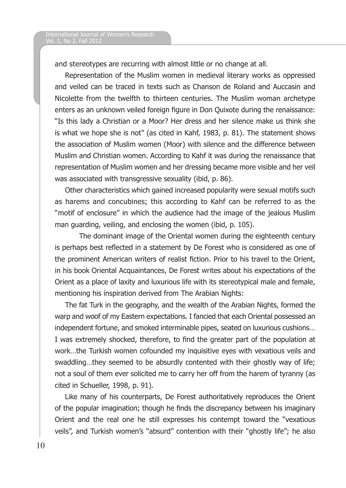and stereotypes are recurring with almost little or no change at all.

Representation of the Muslim women in medieval literary works as oppressed and veiled can be traced in texts such as Chanson de Roland and Auccasin and Nicolette from the twelfth to thirteen centuries. The Muslim woman archetype enters as an unknown veiled foreign figure in Don Quixote during the renaissance: "Is this lady a Christian or a Moor? Her dress and her silence make us think she is what we hope she is not" (as cited in Kahf, 1983, p. 81). The statement shows the association of Muslim women (Moor) with silence and the difference between Muslim and Christian women. According to Kahf it was during the renaissance that representation of Muslim women and her dressing became more visible and her veil was associated with transgressive sexuality (ibid, p. 86).

Other characteristics which gained increased popularity were sexual motifs such as harems and concubines; this according to Kahf can be referred to as the "motif of enclosure" in which the audience had the image of the jealous Muslim man guarding, veiling, and enclosing the women (ibid, p. 105).

 The dominant image of the Oriental women during the eighteenth century is perhaps best reflected in a statement by De Forest who is considered as one of the prominent American writers of realist fiction. Prior to his travel to the Orient, in his book Oriental Acquaintances, De Forest writes about his expectations of the Orient as a place of laxity and luxurious life with its stereotypical male and female, mentioning his inspiration derived from The Arabian Nights:

The fat Turk in the geography, and the wealth of the Arabian Nights, formed the warp and woof of my Eastern expectations. I fancied that each Oriental possessed an independent fortune, and smoked interminable pipes, seated on luxurious cushions… I was extremely shocked, therefore, to find the greater part of the population at work…the Turkish women cofounded my inquisitive eyes with vexatious veils and swaddling…they seemed to be absurdly contented with their ghostly way of life; not a soul of them ever solicited me to carry her off from the harem of tyranny (as cited in Schueller, 1998, p. 91).

Like many of his counterparts, De Forest authoritatively reproduces the Orient of the popular imagination; though he finds the discrepancy between his imaginary Orient and the real one he still expresses his contempt toward the "vexatious veils", and Turkish women's "absurd" contention with their "ghostly life"; he also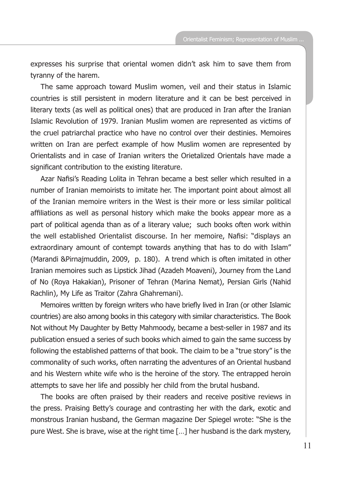expresses his surprise that oriental women didn't ask him to save them from tyranny of the harem.

The same approach toward Muslim women, veil and their status in Islamic countries is still persistent in modern literature and it can be best perceived in literary texts (as well as political ones) that are produced in Iran after the Iranian Islamic Revolution of 1979. Iranian Muslim women are represented as victims of the cruel patriarchal practice who have no control over their destinies. Memoires written on Iran are perfect example of how Muslim women are represented by Orientalists and in case of Iranian writers the Orietalized Orientals have made a significant contribution to the existing literature.

Azar Nafisi's Reading Lolita in Tehran became a best seller which resulted in a number of Iranian memoirists to imitate her. The important point about almost all of the Iranian memoire writers in the West is their more or less similar political affiliations as well as personal history which make the books appear more as a part of political agenda than as of a literary value; such books often work within the well established Orientalist discourse. In her memoire, Nafisi: "displays an extraordinary amount of contempt towards anything that has to do with Islam" (Marandi &Pirnajmuddin, 2009, p. 180). A trend which is often imitated in other Iranian memoires such as Lipstick Jihad (Azadeh Moaveni), Journey from the Land of No (Roya Hakakian), Prisoner of Tehran (Marina Nemat), Persian Girls (Nahid Rachlin), My Life as Traitor (Zahra Ghahremani).

Memoires written by foreign writers who have briefly lived in Iran (or other Islamic countries) are also among books in this category with similar characteristics. The Book Not without My Daughter by Betty Mahmoody, became a best-seller in 1987 and its publication ensued a series of such books which aimed to gain the same success by following the established patterns of that book. The claim to be a "true story" is the commonality of such works, often narrating the adventures of an Oriental husband and his Western white wife who is the heroine of the story. The entrapped heroin attempts to save her life and possibly her child from the brutal husband.

The books are often praised by their readers and receive positive reviews in the press. Praising Betty's courage and contrasting her with the dark, exotic and monstrous Iranian husband, the German magazine Der Spiegel wrote: "She is the pure West. She is brave, wise at the right time […] her husband is the dark mystery,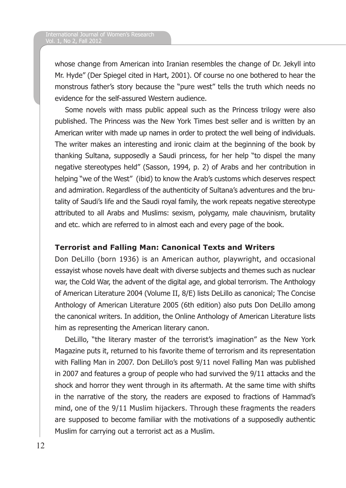whose change from American into Iranian resembles the change of Dr. Jekyll into Mr. Hyde" (Der Spiegel cited in Hart, 2001). Of course no one bothered to hear the monstrous father's story because the "pure west" tells the truth which needs no evidence for the self-assured Western audience.

Some novels with mass public appeal such as the Princess trilogy were also published. The Princess was the New York Times best seller and is written by an American writer with made up names in order to protect the well being of individuals. The writer makes an interesting and ironic claim at the beginning of the book by thanking Sultana, supposedly a Saudi princess, for her help "to dispel the many negative stereotypes held" (Sasson, 1994, p. 2) of Arabs and her contribution in helping "we of the West" (ibid) to know the Arab's customs which deserves respect and admiration. Regardless of the authenticity of Sultana's adventures and the brutality of Saudi's life and the Saudi royal family, the work repeats negative stereotype attributed to all Arabs and Muslims: sexism, polygamy, male chauvinism, brutality and etc. which are referred to in almost each and every page of the book.

# **Terrorist and Falling Man: Canonical Texts and Writers**

Don DeLillo (born 1936) is an American author, playwright, and occasional essayist whose novels have dealt with diverse subjects and themes such as nuclear war, the Cold War, the advent of the digital age, and global terrorism. The Anthology of American Literature 2004 (Volume II, 8/E) lists DeLillo as canonical; The Concise Anthology of American Literature 2005 (6th edition) also puts Don DeLillo among the canonical writers. In addition, the Online Anthology of American Literature lists him as representing the American literary canon.

DeLillo, "the literary master of the terrorist's imagination" as the New York Magazine puts it, returned to his favorite theme of terrorism and its representation with Falling Man in 2007. Don DeLillo's post 9/11 novel Falling Man was published in 2007 and features a group of people who had survived the 9/11 attacks and the shock and horror they went through in its aftermath. At the same time with shifts in the narrative of the story, the readers are exposed to fractions of Hammad's mind, one of the 9/11 Muslim hijackers. Through these fragments the readers are supposed to become familiar with the motivations of a supposedly authentic Muslim for carrying out a terrorist act as a Muslim.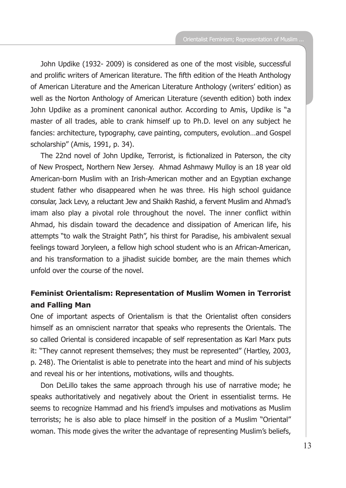John Updike (1932- 2009) is considered as one of the most visible, successful and prolific writers of American literature. The fifth edition of the Heath Anthology of American Literature and the American Literature Anthology (writers' edition) as well as the Norton Anthology of American Literature (seventh edition) both index John Updike as a prominent canonical author. According to Amis, Updike is "a master of all trades, able to crank himself up to Ph.D. level on any subject he fancies: architecture, typography, cave painting, computers, evolution…and Gospel scholarship" (Amis, 1991, p. 34).

The 22nd novel of John Updike, Terrorist, is fictionalized in Paterson, the city of New Prospect, Northern New Jersey. Ahmad Ashmawy Mulloy is an 18 year old American-born Muslim with an Irish-American mother and an Egyptian exchange student father who disappeared when he was three. His high school guidance consular, Jack Levy, a reluctant Jew and Shaikh Rashid, a fervent Muslim and Ahmad's imam also play a pivotal role throughout the novel. The inner conflict within Ahmad, his disdain toward the decadence and dissipation of American life, his attempts "to walk the Straight Path", his thirst for Paradise, his ambivalent sexual feelings toward Joryleen, a fellow high school student who is an African-American, and his transformation to a jihadist suicide bomber, are the main themes which unfold over the course of the novel.

# **Feminist Orientalism: Representation of Muslim Women in Terrorist and Falling Man**

One of important aspects of Orientalism is that the Orientalist often considers himself as an omniscient narrator that speaks who represents the Orientals. The so called Oriental is considered incapable of self representation as Karl Marx puts it: "They cannot represent themselves; they must be represented" (Hartley, 2003, p. 248). The Orientalist is able to penetrate into the heart and mind of his subjects and reveal his or her intentions, motivations, wills and thoughts.

Don DeLillo takes the same approach through his use of narrative mode; he speaks authoritatively and negatively about the Orient in essentialist terms. He seems to recognize Hammad and his friend's impulses and motivations as Muslim terrorists; he is also able to place himself in the position of a Muslim "Oriental" woman. This mode gives the writer the advantage of representing Muslim's beliefs,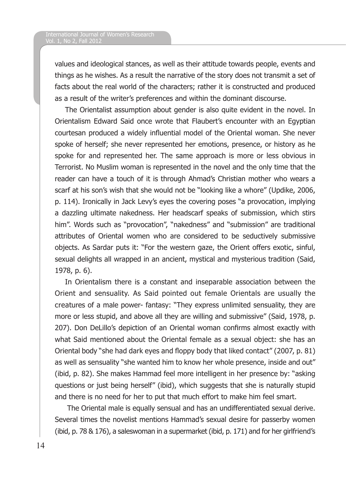values and ideological stances, as well as their attitude towards people, events and things as he wishes. As a result the narrative of the story does not transmit a set of facts about the real world of the characters; rather it is constructed and produced as a result of the writer's preferences and within the dominant discourse.

The Orientalist assumption about gender is also quite evident in the novel. In Orientalism Edward Said once wrote that Flaubert's encounter with an Egyptian courtesan produced a widely influential model of the Oriental woman. She never spoke of herself; she never represented her emotions, presence, or history as he spoke for and represented her. The same approach is more or less obvious in Terrorist. No Muslim woman is represented in the novel and the only time that the reader can have a touch of it is through Ahmad's Christian mother who wears a scarf at his son's wish that she would not be "looking like a whore" (Updike, 2006, p. 114). Ironically in Jack Levy's eyes the covering poses "a provocation, implying a dazzling ultimate nakedness. Her headscarf speaks of submission, which stirs him". Words such as "provocation", "nakedness" and "submission" are traditional attributes of Oriental women who are considered to be seductively submissive objects. As Sardar puts it: "For the western gaze, the Orient offers exotic, sinful, sexual delights all wrapped in an ancient, mystical and mysterious tradition (Said, 1978, p. 6).

In Orientalism there is a constant and inseparable association between the Orient and sensuality. As Said pointed out female Orientals are usually the creatures of a male power- fantasy: "They express unlimited sensuality, they are more or less stupid, and above all they are willing and submissive" (Said, 1978, p. 207). Don DeLillo's depiction of an Oriental woman confirms almost exactly with what Said mentioned about the Oriental female as a sexual object: she has an Oriental body "she had dark eyes and floppy body that liked contact" (2007, p. 81) as well as sensuality "she wanted him to know her whole presence, inside and out" (ibid, p. 82). She makes Hammad feel more intelligent in her presence by: "asking questions or just being herself" (ibid), which suggests that she is naturally stupid and there is no need for her to put that much effort to make him feel smart.

 The Oriental male is equally sensual and has an undifferentiated sexual derive. Several times the novelist mentions Hammad's sexual desire for passerby women (ibid, p. 78 & 176), a saleswoman in a supermarket (ibid, p. 171) and for her girlfriend's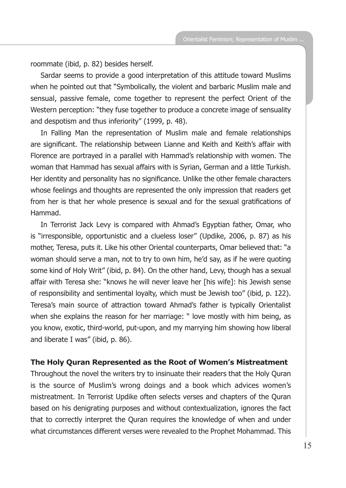roommate (ibid, p. 82) besides herself.

Sardar seems to provide a good interpretation of this attitude toward Muslims when he pointed out that "Symbolically, the violent and barbaric Muslim male and sensual, passive female, come together to represent the perfect Orient of the Western perception: "they fuse together to produce a concrete image of sensuality and despotism and thus inferiority" (1999, p. 48).

In Falling Man the representation of Muslim male and female relationships are significant. The relationship between Lianne and Keith and Keith's affair with Florence are portrayed in a parallel with Hammad's relationship with women. The woman that Hammad has sexual affairs with is Syrian, German and a little Turkish. Her identity and personality has no significance. Unlike the other female characters whose feelings and thoughts are represented the only impression that readers get from her is that her whole presence is sexual and for the sexual gratifications of Hammad.

In Terrorist Jack Levy is compared with Ahmad's Egyptian father, Omar, who is "irresponsible, opportunistic and a clueless loser" (Updike, 2006, p. 87) as his mother, Teresa, puts it. Like his other Oriental counterparts, Omar believed that: "a woman should serve a man, not to try to own him, he'd say, as if he were quoting some kind of Holy Writ" (ibid, p. 84). On the other hand, Levy, though has a sexual affair with Teresa she: "knows he will never leave her [his wife]: his Jewish sense of responsibility and sentimental loyalty, which must be Jewish too" (ibid, p. 122). Teresa's main source of attraction toward Ahmad's father is typically Orientalist when she explains the reason for her marriage: " love mostly with him being, as you know, exotic, third-world, put-upon, and my marrying him showing how liberal and liberate I was" (ibid, p. 86).

#### **The Holy Quran Represented as the Root of Women's Mistreatment**

Throughout the novel the writers try to insinuate their readers that the Holy Quran is the source of Muslim's wrong doings and a book which advices women's mistreatment. In Terrorist Updike often selects verses and chapters of the Quran based on his denigrating purposes and without contextualization, ignores the fact that to correctly interpret the Quran requires the knowledge of when and under what circumstances different verses were revealed to the Prophet Mohammad. This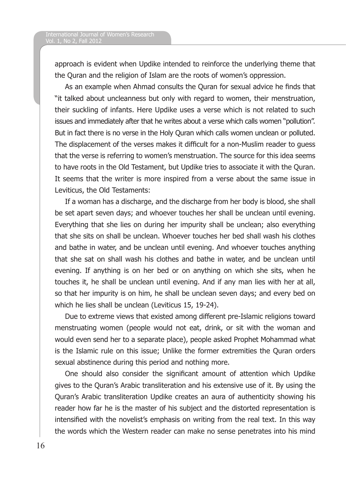approach is evident when Updike intended to reinforce the underlying theme that the Quran and the religion of Islam are the roots of women's oppression.

As an example when Ahmad consults the Quran for sexual advice he finds that "it talked about uncleanness but only with regard to women, their menstruation, their suckling of infants. Here Updike uses a verse which is not related to such issues and immediately after that he writes about a verse which calls women "pollution". But in fact there is no verse in the Holy Quran which calls women unclean or polluted. The displacement of the verses makes it difficult for a non-Muslim reader to guess that the verse is referring to women's menstruation. The source for this idea seems to have roots in the Old Testament, but Updike tries to associate it with the Quran. It seems that the writer is more inspired from a verse about the same issue in Leviticus, the Old Testaments:

If a woman has a discharge, and the discharge from her body is blood, she shall be set apart seven days; and whoever touches her shall be unclean until evening. Everything that she lies on during her impurity shall be unclean; also everything that she sits on shall be unclean. Whoever touches her bed shall wash his clothes and bathe in water, and be unclean until evening. And whoever touches anything that she sat on shall wash his clothes and bathe in water, and be unclean until evening. If anything is on her bed or on anything on which she sits, when he touches it, he shall be unclean until evening. And if any man lies with her at all, so that her impurity is on him, he shall be unclean seven days; and every bed on which he lies shall be unclean (Leviticus 15, 19-24).

Due to extreme views that existed among different pre-Islamic religions toward menstruating women (people would not eat, drink, or sit with the woman and would even send her to a separate place), people asked Prophet Mohammad what is the Islamic rule on this issue; Unlike the former extremities the Quran orders sexual abstinence during this period and nothing more.

One should also consider the significant amount of attention which Updike gives to the Quran's Arabic transliteration and his extensive use of it. By using the Quran's Arabic transliteration Updike creates an aura of authenticity showing his reader how far he is the master of his subject and the distorted representation is intensified with the novelist's emphasis on writing from the real text. In this way the words which the Western reader can make no sense penetrates into his mind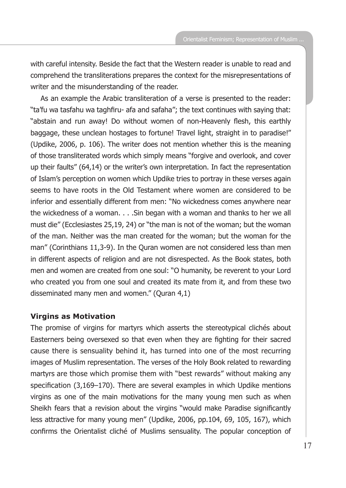with careful intensity. Beside the fact that the Western reader is unable to read and comprehend the transliterations prepares the context for the misrepresentations of writer and the misunderstanding of the reader.

As an example the Arabic transliteration of a verse is presented to the reader: "ta'fu wa tasfahu wa taghfiru- afa and safaha"; the text continues with saying that: "abstain and run away! Do without women of non-Heavenly flesh, this earthly baggage, these unclean hostages to fortune! Travel light, straight in to paradise!" (Updike, 2006, p. 106). The writer does not mention whether this is the meaning of those transliterated words which simply means "forgive and overlook, and cover up their faults" (64,14) or the writer's own interpretation. In fact the representation of Islam's perception on women which Updike tries to portray in these verses again seems to have roots in the Old Testament where women are considered to be inferior and essentially different from men: "No wickedness comes anywhere near the wickedness of a woman. . . .Sin began with a woman and thanks to her we all must die" (Ecclesiastes 25,19, 24) or "the man is not of the woman; but the woman of the man. Neither was the man created for the woman; but the woman for the man" (Corinthians 11,3-9). In the Quran women are not considered less than men in different aspects of religion and are not disrespected. As the Book states, both men and women are created from one soul: "O humanity, be reverent to your Lord who created you from one soul and created its mate from it, and from these two disseminated many men and women." (Quran 4,1)

### **Virgins as Motivation**

The promise of virgins for martyrs which asserts the stereotypical clichés about Easterners being oversexed so that even when they are fighting for their sacred cause there is sensuality behind it, has turned into one of the most recurring images of Muslim representation. The verses of the Holy Book related to rewarding martyrs are those which promise them with "best rewards" without making any specification (3,169–170). There are several examples in which Updike mentions virgins as one of the main motivations for the many young men such as when Sheikh fears that a revision about the virgins "would make Paradise significantly less attractive for many young men" (Updike, 2006, pp.104, 69, 105, 167), which confirms the Orientalist cliché of Muslims sensuality. The popular conception of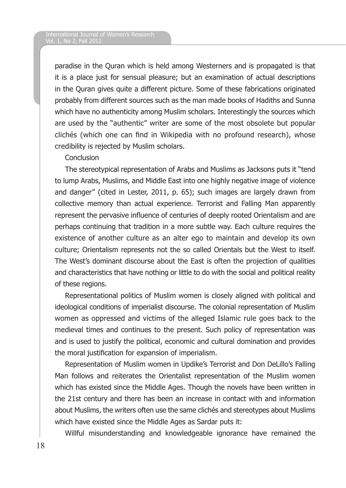paradise in the Quran which is held among Westerners and is propagated is that it is a place just for sensual pleasure; but an examination of actual descriptions in the Quran gives quite a different picture. Some of these fabrications originated probably from different sources such as the man made books of Hadiths and Sunna which have no authenticity among Muslim scholars. Interestingly the sources which are used by the "authentic" writer are some of the most obsolete but popular clichés (which one can find in Wikipedia with no profound research), whose credibility is rejected by Muslim scholars.

### **Conclusion**

The stereotypical representation of Arabs and Muslims as Jacksons puts it "tend to lump Arabs, Muslims, and Middle East into one highly negative image of violence and danger" (cited in Lester, 2011, p. 65); such images are largely drawn from collective memory than actual experience. Terrorist and Falling Man apparently represent the pervasive influence of centuries of deeply rooted Orientalism and are perhaps continuing that tradition in a more subtle way. Each culture requires the existence of another culture as an alter ego to maintain and develop its own culture; Orientalism represents not the so called Orientals but the West to itself. The West's dominant discourse about the East is often the projection of qualities and characteristics that have nothing or little to do with the social and political reality of these regions.

Representational politics of Muslim women is closely aligned with political and ideological conditions of imperialist discourse. The colonial representation of Muslim women as oppressed and victims of the alleged Islamic rule goes back to the medieval times and continues to the present. Such policy of representation was and is used to justify the political, economic and cultural domination and provides the moral justification for expansion of imperialism.

Representation of Muslim women in Updike's Terrorist and Don DeLillo's Falling Man follows and reiterates the Orientalist representation of the Muslim women which has existed since the Middle Ages. Though the novels have been written in the 21st century and there has been an increase in contact with and information about Muslims, the writers often use the same clichés and stereotypes about Muslims which have existed since the Middle Ages as Sardar puts it:

Willful misunderstanding and knowledgeable ignorance have remained the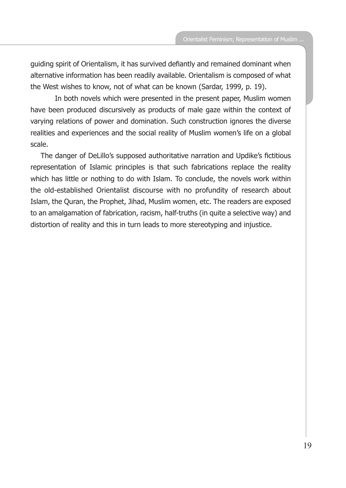guiding spirit of Orientalism, it has survived defiantly and remained dominant when alternative information has been readily available. Orientalism is composed of what the West wishes to know, not of what can be known (Sardar, 1999, p. 19).

 In both novels which were presented in the present paper, Muslim women have been produced discursively as products of male gaze within the context of varying relations of power and domination. Such construction ignores the diverse realities and experiences and the social reality of Muslim women's life on a global scale.

The danger of DeLillo's supposed authoritative narration and Updike's fictitious representation of Islamic principles is that such fabrications replace the reality which has little or nothing to do with Islam. To conclude, the novels work within the old-established Orientalist discourse with no profundity of research about Islam, the Quran, the Prophet, Jihad, Muslim women, etc. The readers are exposed to an amalgamation of fabrication, racism, half-truths (in quite a selective way) and distortion of reality and this in turn leads to more stereotyping and injustice.